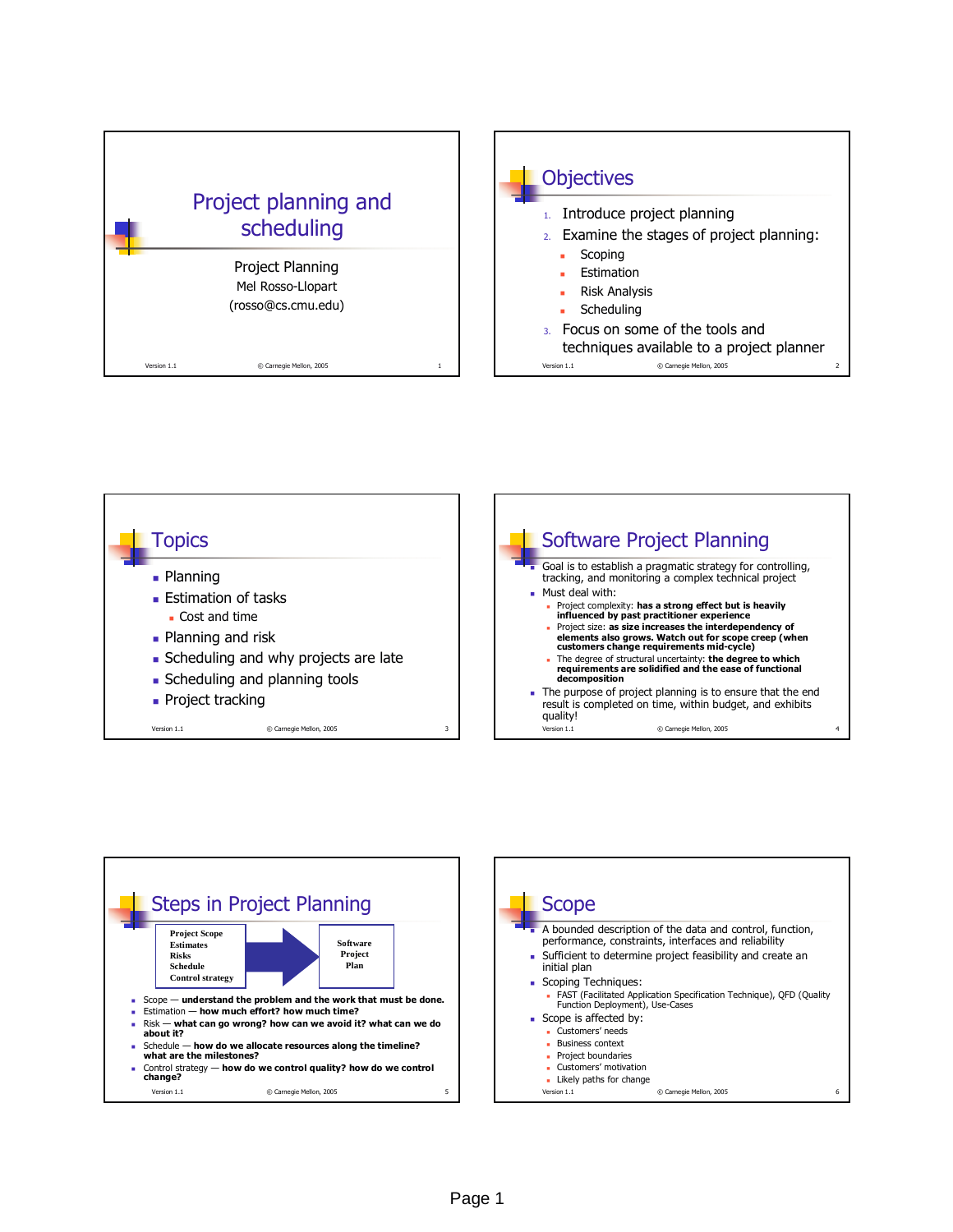







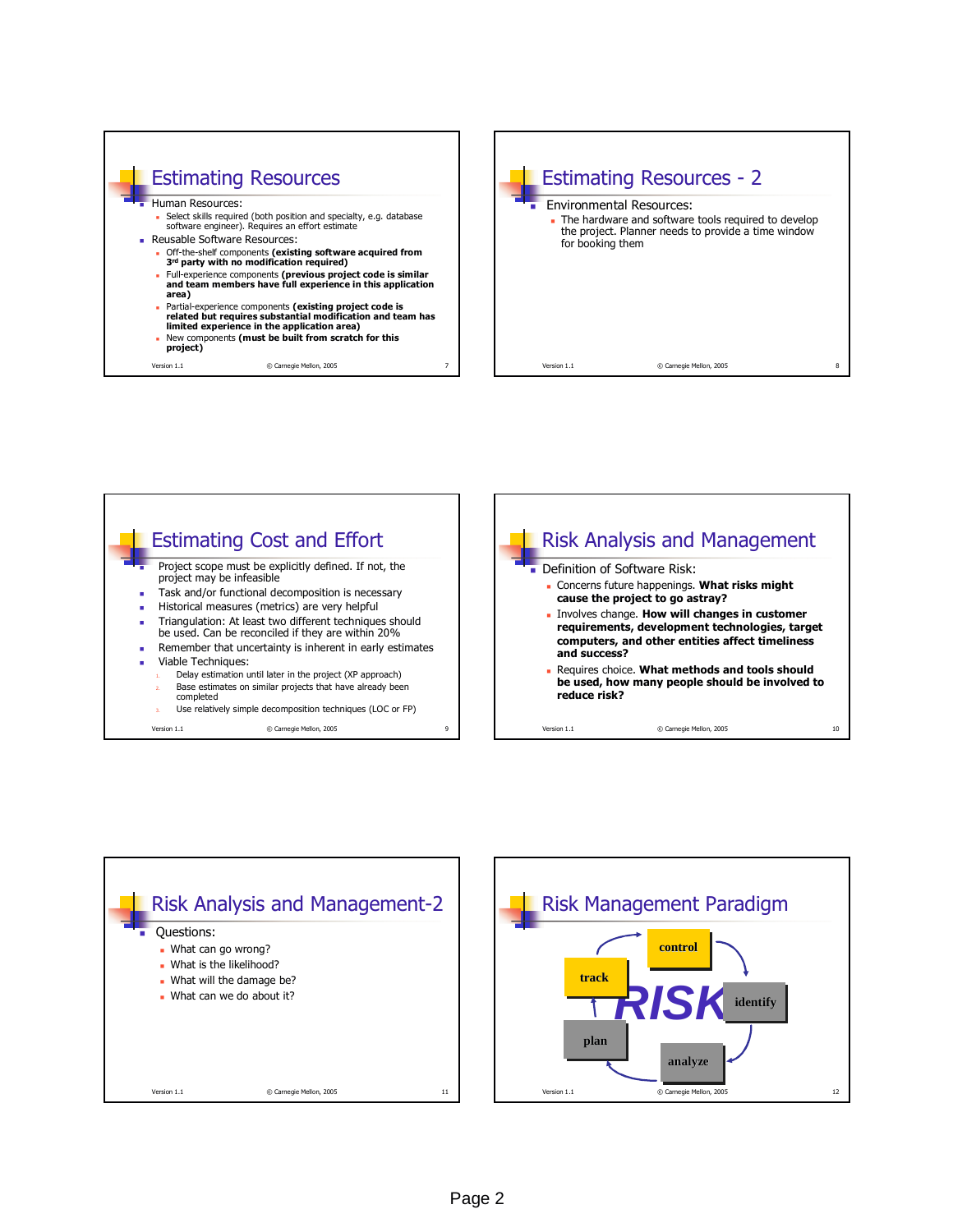







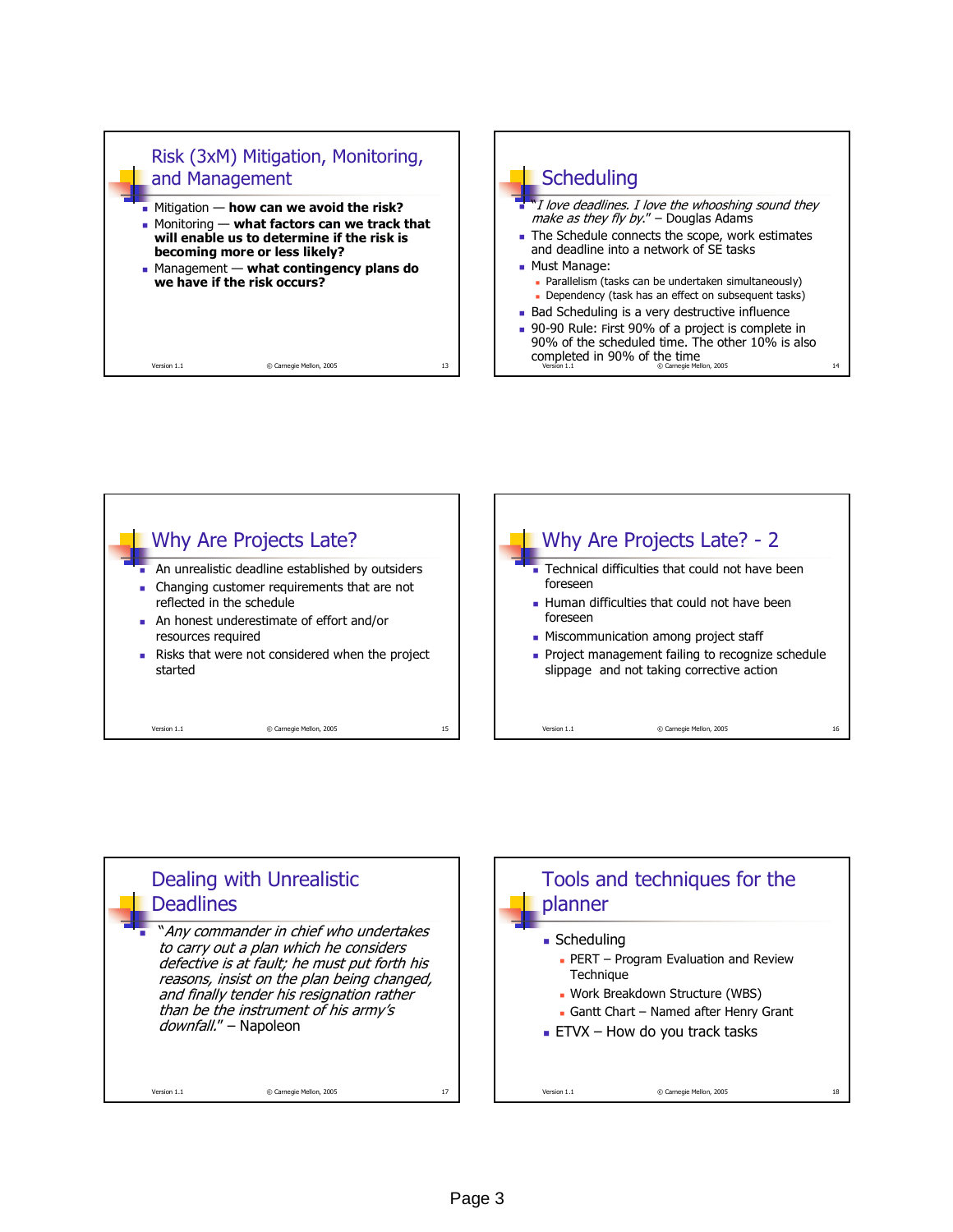





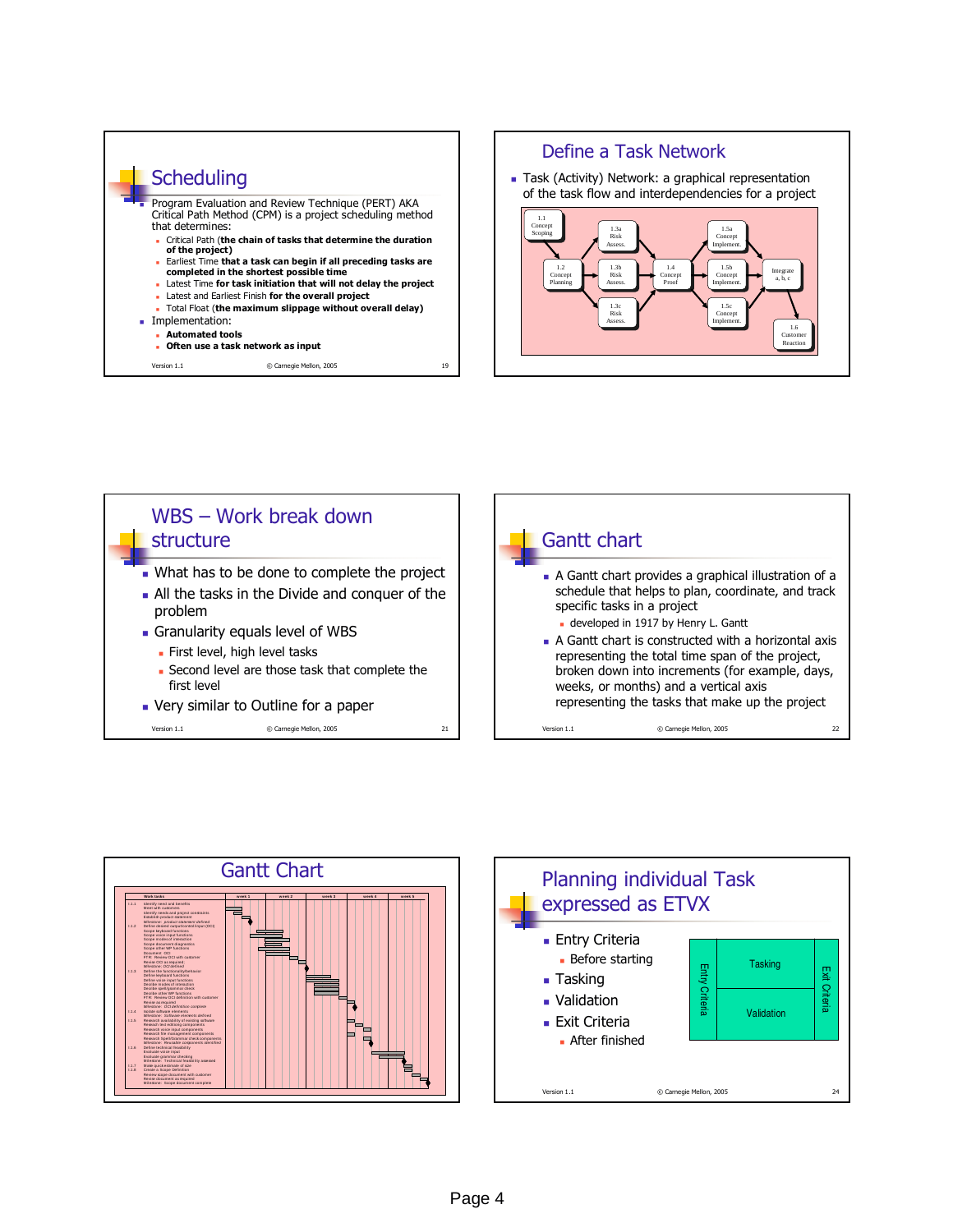







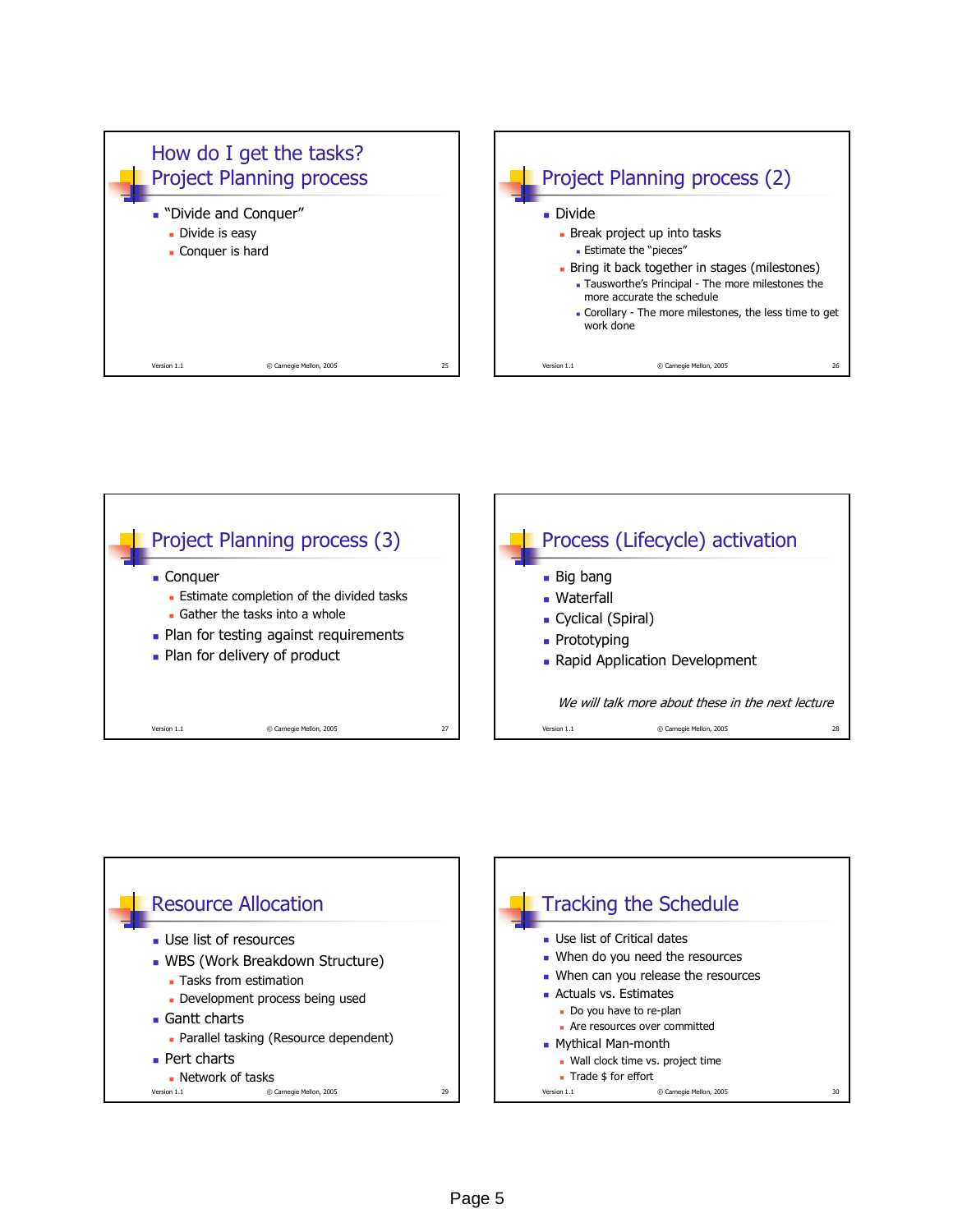